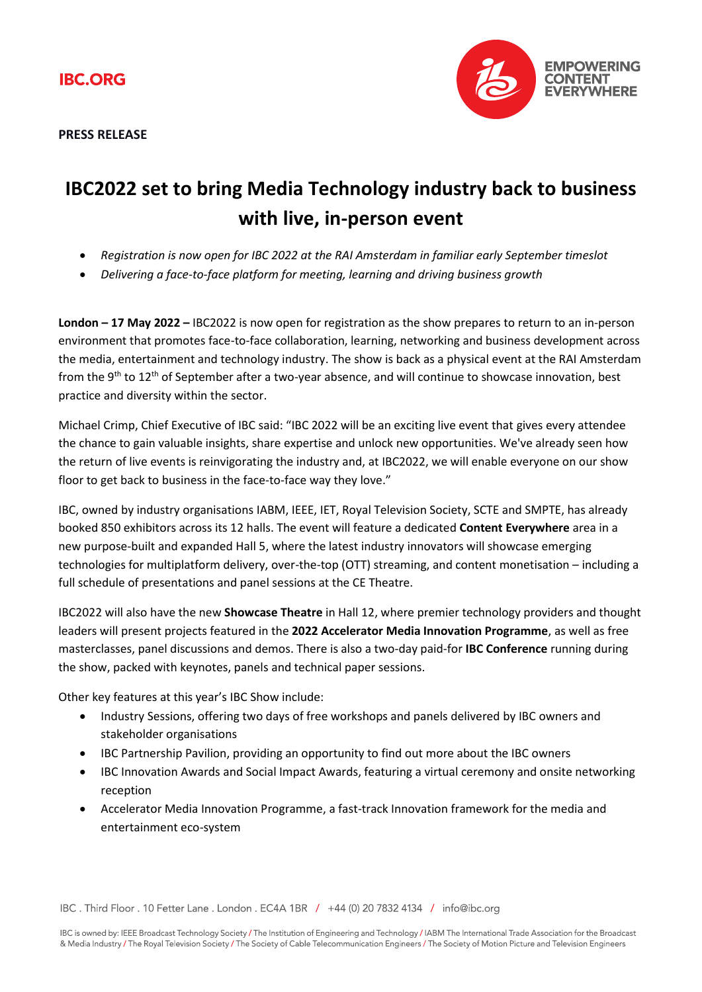**PRESS RELEASE**



## **IBC2022 set to bring Media Technology industry back to business with live, in-person event**

- *Registration is now open for IBC 2022 at the RAI Amsterdam in familiar early September timeslot*
- *Delivering a face-to-face platform for meeting, learning and driving business growth*

**London – 17 May 2022 –** IBC2022 is now open for registration as the show prepares to return to an in-person environment that promotes face-to-face collaboration, learning, networking and business development across the media, entertainment and technology industry. The show is back as a physical event at the RAI Amsterdam from the 9<sup>th</sup> to 12<sup>th</sup> of September after a two-year absence, and will continue to showcase innovation, best practice and diversity within the sector.

Michael Crimp, Chief Executive of IBC said: "IBC 2022 will be an exciting live event that gives every attendee the chance to gain valuable insights, share expertise and unlock new opportunities. We've already seen how the return of live events is reinvigorating the industry and, at IBC2022, we will enable everyone on our show floor to get back to business in the face-to-face way they love."

IBC, owned by industry organisations IABM, IEEE, IET, Royal Television Society, SCTE and SMPTE, has already booked 850 exhibitors across its 12 halls. The event will feature a dedicated **Content Everywhere** area in a new purpose-built and expanded Hall 5, where the latest industry innovators will showcase emerging technologies for multiplatform delivery, over-the-top (OTT) streaming, and content monetisation – including a full schedule of presentations and panel sessions at the CE Theatre.

IBC2022 will also have the new **Showcase Theatre** in Hall 12, where premier technology providers and thought leaders will present projects featured in the **2022 Accelerator Media Innovation Programme**, as well as free masterclasses, panel discussions and demos. There is also a two-day paid-for **IBC Conference** running during the show, packed with keynotes, panels and technical paper sessions.

Other key features at this year's IBC Show include:

- Industry Sessions, offering two days of free workshops and panels delivered by IBC owners and stakeholder organisations
- IBC Partnership Pavilion, providing an opportunity to find out more about the IBC owners
- IBC Innovation Awards and Social Impact Awards, featuring a virtual ceremony and onsite networking reception
- Accelerator Media Innovation Programme, a fast-track Innovation framework for the media and entertainment eco-system